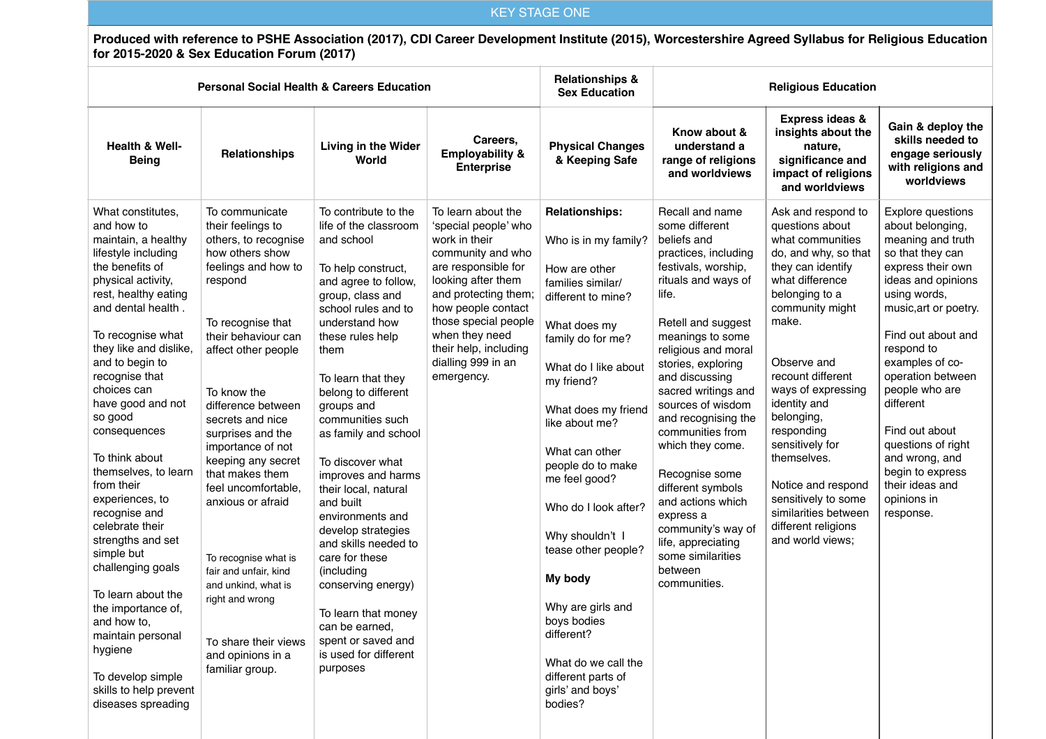## KEY STAGE ONE

**Produced with reference to PSHE Association (2017), CDI Career Development Institute (2015), Worcestershire Agreed Syllabus for Religious Education for 2015-2020 & Sex Education Forum (2017)**

|                                                                                                                                                                                                                                                                                                                                                                                                                                                                                                                                                                                                                                                                |                                                                                                                                                                                                                                                                                                                                                                                                                                                                                                                                        | <b>Personal Social Health &amp; Careers Education</b>                                                                                                                                                                                                                                                                                                                                                                                                                                                                                                                                                                |                                                                                                                                                                                                                                                                                    | <b>Relationships &amp;</b><br><b>Sex Education</b>                                                                                                                                                                                                                                                                                                                                                                                                                                               | <b>Religious Education</b>                                                                                                                                                                                                                                                                                                                                                                                                                                                                                               |                                                                                                                                                                                                                                                                                                                                                                                                                                 |                                                                                                                                                                                                                                                                                                                                                                                                            |  |
|----------------------------------------------------------------------------------------------------------------------------------------------------------------------------------------------------------------------------------------------------------------------------------------------------------------------------------------------------------------------------------------------------------------------------------------------------------------------------------------------------------------------------------------------------------------------------------------------------------------------------------------------------------------|----------------------------------------------------------------------------------------------------------------------------------------------------------------------------------------------------------------------------------------------------------------------------------------------------------------------------------------------------------------------------------------------------------------------------------------------------------------------------------------------------------------------------------------|----------------------------------------------------------------------------------------------------------------------------------------------------------------------------------------------------------------------------------------------------------------------------------------------------------------------------------------------------------------------------------------------------------------------------------------------------------------------------------------------------------------------------------------------------------------------------------------------------------------------|------------------------------------------------------------------------------------------------------------------------------------------------------------------------------------------------------------------------------------------------------------------------------------|--------------------------------------------------------------------------------------------------------------------------------------------------------------------------------------------------------------------------------------------------------------------------------------------------------------------------------------------------------------------------------------------------------------------------------------------------------------------------------------------------|--------------------------------------------------------------------------------------------------------------------------------------------------------------------------------------------------------------------------------------------------------------------------------------------------------------------------------------------------------------------------------------------------------------------------------------------------------------------------------------------------------------------------|---------------------------------------------------------------------------------------------------------------------------------------------------------------------------------------------------------------------------------------------------------------------------------------------------------------------------------------------------------------------------------------------------------------------------------|------------------------------------------------------------------------------------------------------------------------------------------------------------------------------------------------------------------------------------------------------------------------------------------------------------------------------------------------------------------------------------------------------------|--|
| <b>Health &amp; Well-</b><br><b>Being</b>                                                                                                                                                                                                                                                                                                                                                                                                                                                                                                                                                                                                                      | <b>Relationships</b>                                                                                                                                                                                                                                                                                                                                                                                                                                                                                                                   | Living in the Wider<br>World                                                                                                                                                                                                                                                                                                                                                                                                                                                                                                                                                                                         | Careers,<br><b>Employability &amp;</b><br><b>Enterprise</b>                                                                                                                                                                                                                        | <b>Physical Changes</b><br>& Keeping Safe                                                                                                                                                                                                                                                                                                                                                                                                                                                        | Know about &<br>understand a<br>range of religions<br>and worldviews                                                                                                                                                                                                                                                                                                                                                                                                                                                     | Express ideas &<br>insights about the<br>nature,<br>significance and<br>impact of religions<br>and worldviews                                                                                                                                                                                                                                                                                                                   | Gain & deploy the<br>skills needed to<br>engage seriously<br>with religions and<br>worldviews                                                                                                                                                                                                                                                                                                              |  |
| What constitutes.<br>and how to<br>maintain, a healthy<br>lifestyle including<br>the benefits of<br>physical activity,<br>rest, healthy eating<br>and dental health.<br>To recognise what<br>they like and dislike,<br>and to begin to<br>recognise that<br>choices can<br>have good and not<br>so good<br>consequences<br>To think about<br>themselves, to learn<br>from their<br>experiences, to<br>recognise and<br>celebrate their<br>strengths and set<br>simple but<br>challenging goals<br>To learn about the<br>the importance of,<br>and how to,<br>maintain personal<br>hygiene<br>To develop simple<br>skills to help prevent<br>diseases spreading | To communicate<br>their feelings to<br>others, to recognise<br>how others show<br>feelings and how to<br>respond<br>To recognise that<br>their behaviour can<br>affect other people<br>To know the<br>difference between<br>secrets and nice<br>surprises and the<br>importance of not<br>keeping any secret<br>that makes them<br>feel uncomfortable,<br>anxious or afraid<br>To recognise what is<br>fair and unfair, kind<br>and unkind, what is<br>right and wrong<br>To share their views<br>and opinions in a<br>familiar group. | To contribute to the<br>life of the classroom<br>and school<br>To help construct,<br>and agree to follow,<br>group, class and<br>school rules and to<br>understand how<br>these rules help<br>them<br>To learn that they<br>belong to different<br>groups and<br>communities such<br>as family and school<br>To discover what<br>improves and harms<br>their local, natural<br>and built<br>environments and<br>develop strategies<br>and skills needed to<br>care for these<br>(including<br>conserving energy)<br>To learn that money<br>can be earned,<br>spent or saved and<br>is used for different<br>purposes | To learn about the<br>'special people' who<br>work in their<br>community and who<br>are responsible for<br>looking after them<br>and protecting them;<br>how people contact<br>those special people<br>when they need<br>their help, including<br>dialling 999 in an<br>emergency. | <b>Relationships:</b><br>Who is in my family?<br>How are other<br>families similar/<br>different to mine?<br>What does my<br>family do for me?<br>What do I like about<br>my friend?<br>What does my friend<br>like about me?<br>What can other<br>people do to make<br>me feel good?<br>Who do I look after?<br>Why shouldn't I<br>tease other people?<br>My body<br>Why are girls and<br>boys bodies<br>different?<br>What do we call the<br>different parts of<br>girls' and boys'<br>bodies? | Recall and name<br>some different<br>beliefs and<br>practices, including<br>festivals, worship,<br>rituals and ways of<br>life.<br>Retell and suggest<br>meanings to some<br>religious and moral<br>stories, exploring<br>and discussing<br>sacred writings and<br>sources of wisdom<br>and recognising the<br>communities from<br>which they come.<br>Recognise some<br>different symbols<br>and actions which<br>express a<br>community's way of<br>life, appreciating<br>some similarities<br>between<br>communities. | Ask and respond to<br>questions about<br>what communities<br>do, and why, so that<br>they can identify<br>what difference<br>belonging to a<br>community might<br>make.<br>Observe and<br>recount different<br>ways of expressing<br>identity and<br>belonging,<br>responding<br>sensitively for<br>themselves.<br>Notice and respond<br>sensitively to some<br>similarities between<br>different religions<br>and world views; | Explore questions<br>about belonging,<br>meaning and truth<br>so that they can<br>express their own<br>ideas and opinions<br>using words,<br>music, art or poetry.<br>Find out about and<br>respond to<br>examples of co-<br>operation between<br>people who are<br>different<br>Find out about<br>questions of right<br>and wrong, and<br>begin to express<br>their ideas and<br>opinions in<br>response. |  |